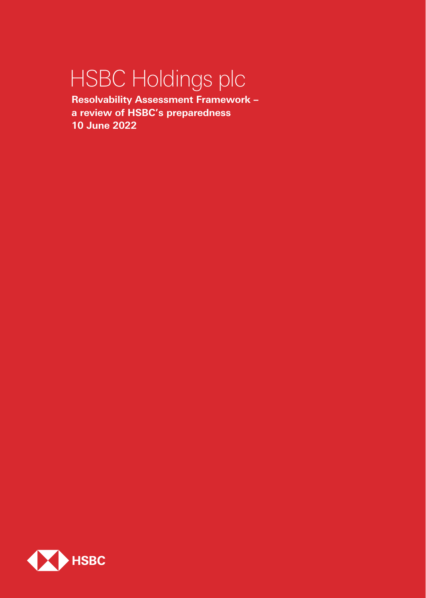# HSBC Holdings plc

**Resolvability Assessment Framework – a review of HSBC's preparedness 10 June 2022**

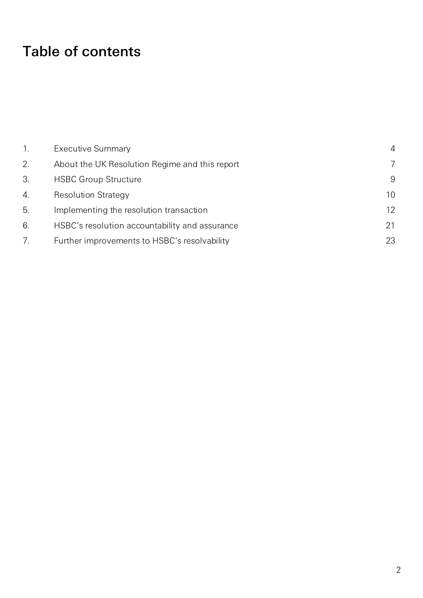# Table of contents

|    | <b>Executive Summary</b>                       | $\overline{4}$ |
|----|------------------------------------------------|----------------|
| 2. | About the UK Resolution Regime and this report | 7              |
| 3. | <b>HSBC Group Structure</b>                    | 9              |
| 4. | <b>Resolution Strategy</b>                     | 10             |
| 5. | Implementing the resolution transaction        | 12             |
| 6. | HSBC's resolution accountability and assurance | 21             |
|    | Further improvements to HSBC's resolvability   | 23             |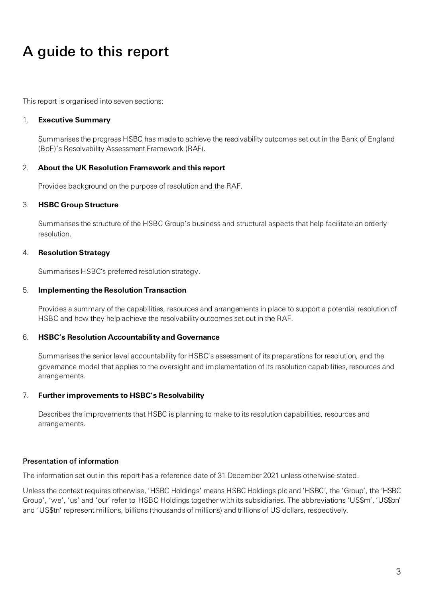# A guide to this report

This report is organised into seven sections:

#### 1. **Executive Summary**

Summarises the progress HSBC has made to achieve the resolvability outcomes set out in the Bank of England (BoE)'s Resolvability Assessment Framework (RAF).

#### 2. **About the UK Resolution Framework and this report**

Provides background on the purpose of resolution and the RAF.

#### 3. **HSBC Group Structure**

Summarises the structure of the HSBC Group's business and structural aspects that help facilitate an orderly resolution.

#### 4. **Resolution Strategy**

Summarises HSBC's preferred resolution strategy.

#### 5. **Implementing the Resolution Transaction**

Provides a summary of the capabilities, resources and arrangements in place to support a potential resolution of HSBC and how they help achieve the resolvability outcomes set out in the RAF.

#### 6. **HSBC's Resolution Accountability and Governance**

Summarises the senior level accountability for HSBC's assessment of its preparations for resolution, and the governance model that applies to the oversight and implementation of its resolution capabilities, resources and arrangements.

### 7. **Further improvements to HSBC's Resolvability**

Describes the improvements that HSBC is planning to make to its resolution capabilities, resources and arrangements.

#### Presentation of information

The information set out in this report has a reference date of 31 December 2021 unless otherwise stated.

Unless the context requires otherwise, 'HSBC Holdings' means HSBC Holdings plc and 'HSBC', the 'Group', the 'HSBC Group', 'we', 'us' and 'our' refer to HSBC Holdings together with its subsidiaries. The abbreviations 'US\$m', 'US\$bn' and 'US\$tn' represent millions, billions (thousands of millions) and trillions of US dollars, respectively.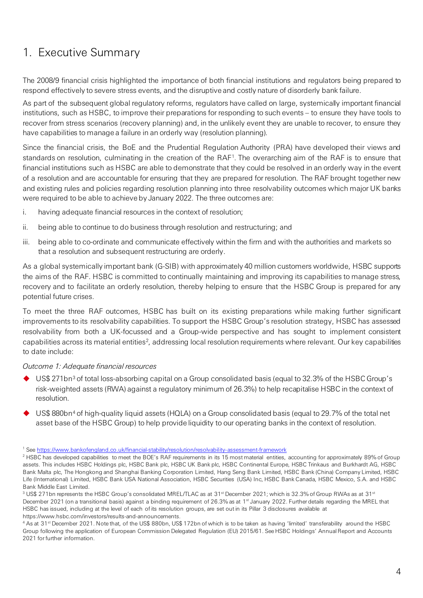# <span id="page-3-0"></span>1. Executive Summary

The 2008/9 financial crisis highlighted the importance of both financial institutions and regulators being prepared to respond effectively to severe stress events, and the disruptive and costly nature of disorderly bank failure.

As part of the subsequent global regulatory reforms, regulators have called on large, systemically important financial institutions, such as HSBC, to improve their preparations for responding to such events – to ensure they have tools to recover from stress scenarios (recovery planning) and, in the unlikely event they are unable to recover, to ensure they have capabilities to manage a failure in an orderly way (resolution planning).

Since the financial crisis, the BoE and the Prudential Regulation Authority (PRA) have developed their views and standards on resolution, culminating in the creation of the RAF[1](#page-3-1). The overarching aim of the RAF is to ensure that financial institutions such as HSBC are able to demonstrate that they could be resolved in an orderly way in the event of a resolution and are accountable for ensuring that they are prepared for resolution. The RAF brought together new and existing rules and policies regarding resolution planning into three resolvability outcomes which major UK banks were required to be able to achieve by January 2022. The three outcomes are:

- i. having adequate financial resources in the context of resolution;
- ii. being able to continue to do business through resolution and restructuring; and
- iii. being able to co-ordinate and communicate effectively within the firm and with the authorities and markets so that a resolution and subsequent restructuring are orderly.

As a global systemically important bank (G-SIB) with approximately 40 million customers worldwide, HSBC supports the aims of the RAF. HSBC is committed to continually maintaining and improving its capabilities to manage stress, recovery and to facilitate an orderly resolution, thereby helping to ensure that the HSBC Group is prepared for any potential future crises.

To meet the three RAF outcomes, HSBC has built on its existing preparations while making further significant improvements to its resolvability capabilities. To support the HSBC Group's resolution strategy, HSBC has assessed resolvability from both a UK-focussed and a Group-wide perspective and has sought to implement consistent capabilities across its material entities<sup>[2](#page-3-2)</sup>, addressing local resolution requirements where relevant. Our key capabilities to date include:

### *Outcome 1: Adequate financial resources*

- $\blacklozenge$  US\$ 271bn<sup>[3](#page-3-3)</sup> of total loss-absorbing capital on a Group consolidated basis (equal to 32.3% of the HSBC Group's risk-weighted assets (RWA) against a regulatory minimum of 26.3%) to help recapitalise HSBC in the context of resolution.
- US\$ 880bn[4](#page-3-4) of high-quality liquid assets (HQLA) on a Group consolidated basis (equal to 29.7% of the total net asset base of the HSBC Group) to help provide liquidity to our operating banks in the context of resolution.

<span id="page-3-4"></span><sup>4</sup> As at 31st December 2021. Note that, of the US\$ 880bn, US\$ 172bn of which is to be taken as having 'limited' transferability around the HSBC Group following the application of European Commission Delegated Regulation (EU) 2015/61. See HSBC Holdings' Annual Report and Accounts 2021 for further information.

<span id="page-3-2"></span><span id="page-3-1"></span><sup>&</sup>lt;sup>1</sup> See https://www.bankofengland.co.uk/financial-stability/resolution/resolvability-assessment-framework<br><sup>2</sup> HSBC has developed capabilities to meet the BOE's RAF requirements in its 15 most material entities, accounting assets. This includes HSBC Holdings plc, HSBC Bank plc, HSBC UK Bank plc, HSBC Continental Europe, HSBC Trinkaus and Burkhardt AG, HSBC Bank Malta plc, The Hongkong and Shanghai Banking Corporation Limited, Hang Seng Bank Limited, HSBC Bank (China) Company Limited, HSBC Life (International) Limited, HSBC Bank USA National Association, HSBC Securities (USA) Inc, HSBC Bank Canada, HSBC Mexico, S.A. and HSBC Bank Middle East Limited.

<span id="page-3-3"></span> $3$  US\$ 271bn represents the HSBC Group's consolidated MREL/TLAC as at 31<sup>st</sup> December 2021; which is 32.3% of Group RWAs as at 31<sup>st</sup> December 2021 (on a transitional basis) against a binding requirement of 26.3% as at 1<sup>st</sup> January 2022. Further details regarding the MREL that HSBC has issued, including at the level of each of its resolution groups, are set out in its Pillar 3 disclosures available at https://www.hsbc.com/investors/results-and-announcements.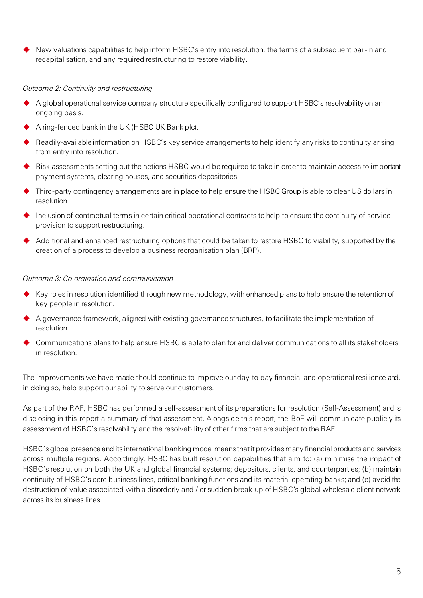New valuations capabilities to help inform HSBC's entry into resolution, the terms of a subsequent bail-in and recapitalisation, and any required restructuring to restore viability.

#### *Outcome 2: Continuity and restructuring*

- A global operational service company structure specifically configured to support HSBC's resolvability on an ongoing basis.
- A ring-fenced bank in the UK (HSBC UK Bank plc).
- ◆ Readily-available information on HSBC's key service arrangements to help identify any risks to continuity arising from entry into resolution.
- Risk assessments setting out the actions HSBC would be required to take in order to maintain access to important payment systems, clearing houses, and securities depositories.
- Third-party contingency arrangements are in place to help ensure the HSBC Group is able to clear US dollars in resolution.
- Inclusion of contractual terms in certain critical operational contracts to help to ensure the continuity of service provision to support restructuring.
- Additional and enhanced restructuring options that could be taken to restore HSBC to viability, supported by the creation of a process to develop a business reorganisation plan (BRP).

#### *Outcome 3: Co-ordination and communication*

- Key roles in resolution identified through new methodology, with enhanced plans to help ensure the retention of key people in resolution.
- $\blacklozenge$  A governance framework, aligned with existing governance structures, to facilitate the implementation of resolution.
- ◆ Communications plans to help ensure HSBC is able to plan for and deliver communications to all its stakeholders in resolution.

The improvements we have made should continue to improve our day-to-day financial and operational resilience and, in doing so, help support our ability to serve our customers.

As part of the RAF, HSBC has performed a self-assessment of its preparations for resolution (Self-Assessment) and is disclosing in this report a summary of that assessment. Alongside this report, the BoE will communicate publicly its assessment of HSBC's resolvability and the resolvability of other firms that are subject to the RAF.

HSBC's global presence and its international banking model means that it provides many financial products and services across multiple regions. Accordingly, HSBC has built resolution capabilities that aim to: (a) minimise the impact of HSBC's resolution on both the UK and global financial systems; depositors, clients, and counterparties; (b) maintain continuity of HSBC's core business lines, critical banking functions and its material operating banks; and (c) avoid the destruction of value associated with a disorderly and / or sudden break-up of HSBC's global wholesale client network across its business lines.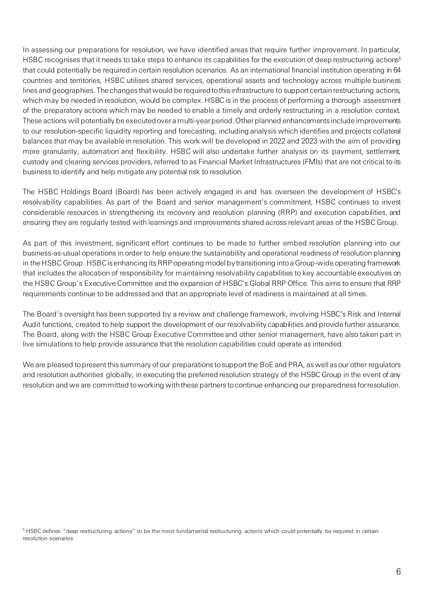In assessing our preparations for resolution, we have identified areas that require further improvement. In particular, HSBC recognises that it needs to take steps to enhance its capabilities for the execution of deep restructuring actions<sup>5</sup> that could potentially be required in certain resolution scenarios. As an international financial institution operating in 64 countries and territories, HSBC utilises shared services, operational assets and technology across multiple business lines and geographies. The changes that would be required to this infrastructure to support certain restructuring actions, which may be needed in resolution, would be complex. HSBC is in the process of performing a thorough assessment of the preparatory actions which may be needed to enable a timely and orderly restructuring in a resolution context. These actions will potentially be executed over a multi-year period. Other planned enhancements include improvements to our resolution-specific liquidity reporting and forecasting, including analysis which identifies and projects collateral balances that may be available in resolution. This work will be developed in 2022 and 2023 with the aim of providing more granularity, automation and flexibility. HSBC will also undertake further analysis on its payment, settlement, custody and clearing services providers, referred to as Financial Market Infrastructures (FMIs) that are not critical to its business to identify and help mitigate any potential risk to resolution.

The HSBC Holdings Board (Board) has been actively engaged in and has overseen the development of HSBC's resolvability capabilities. As part of the Board and senior management's commitment, HSBC continues to invest considerable resources in strengthening its recovery and resolution planning (RRP) and execution capabilities, and ensuring they are regularly tested with learnings and improvements shared across relevant areas of the HSBC Group.

As part of this investment, significant effort continues to be made to further embed resolution planning into our business-as-usual operations in order to help ensure the sustainability and operational readiness of resolution planning in the HSBC Group. HSBC is enhancing its RRP operating model by transitioning into a Group-wide operating framework that includes the allocation of responsibility for maintaining resolvability capabilities to key accountable executives on the HSBC Group's Executive Committee and the expansion of HSBC's Global RRP Office. This aims to ensure that RRP requirements continue to be addressed and that an appropriate level of readiness is maintained at all times.

The Board's oversight has been supported by a review and challenge framework, involving HSBC's Risk and Internal Audit functions, created to help support the development of our resolvability capabilities and provide further assurance. The Board, along with the HSBC Group Executive Committee and other senior management, have also taken part in live simulations to help provide assurance that the resolution capabilities could operate as intended.

We are pleased to present this summary of our preparations to support the BoE and PRA, as well as our other regulators and resolution authorities globally, in executing the preferred resolution strategy of the HSBC Group in the event of any resolution and we are committed to working with these partners to continue enhancing our preparedness for resolution.

<span id="page-5-0"></span><sup>&</sup>lt;sup>5</sup> HSBC defines "deep restructuring actions" to be the most fundamental restructuring actions which could potentially be required in certain resolution scenarios.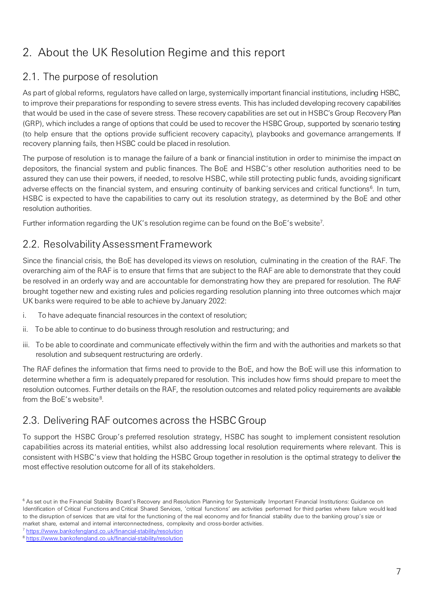# <span id="page-6-0"></span>2. About the UK Resolution Regime and this report

### 2.1. The purpose of resolution

As part of global reforms, regulators have called on large, systemically important financial institutions, including HSBC, to improve their preparations for responding to severe stress events. This has included developing recovery capabilities that would be used in the case of severe stress. These recovery capabilities are set out in HSBC's Group Recovery Plan (GRP), which includes a range of options that could be used to recover the HSBC Group, supported by scenario testing (to help ensure that the options provide sufficient recovery capacity), playbooks and governance arrangements. If recovery planning fails, then HSBC could be placed in resolution.

The purpose of resolution is to manage the failure of a bank or financial institution in order to minimise the impact on depositors, the financial system and public finances. The BoE and HSBC's other resolution authorities need to be assured they can use their powers, if needed, to resolve HSBC, while still protecting public funds, avoiding significant adverse effects on the financial system, and ensuring continuity of banking services and critical functions<sup>[6](#page-6-1)</sup>. In turn, HSBC is expected to have the capabilities to carry out its resolution strategy, as determined by the BoE and other resolution authorities.

Further information regarding the UK's resolution regime can be found on the BoE's website<sup>7</sup>.

### 2.2. Resolvability Assessment Framework

Since the financial crisis, the BoE has developed its views on resolution, culminating in the creation of the RAF. The overarching aim of the RAF is to ensure that firms that are subject to the RAF are able to demonstrate that they could be resolved in an orderly way and are accountable for demonstrating how they are prepared for resolution. The RAF brought together new and existing rules and policies regarding resolution planning into three outcomes which major UK banks were required to be able to achieve by January 2022:

- i. To have adequate financial resources in the context of resolution;
- ii. To be able to continue to do business through resolution and restructuring; and
- iii. To be able to coordinate and communicate effectively within the firm and with the authorities and markets so that resolution and subsequent restructuring are orderly.

The RAF defines the information that firms need to provide to the BoE, and how the BoE will use this information to determine whether a firm is adequately prepared for resolution. This includes how firms should prepare to meet the resolution outcomes. Further details on the RAF, the resolution outcomes and related policy requirements are available from the BoE's website<sup>[8](#page-6-3)</sup>.

### 2.3. Delivering RAF outcomes across the HSBC Group

To support the HSBC Group's preferred resolution strategy, HSBC has sought to implement consistent resolution capabilities across its material entities, whilst also addressing local resolution requirements where relevant. This is consistent with HSBC's view that holding the HSBC Group together in resolution is the optimal strategy to deliver the most effective resolution outcome for all of its stakeholders.

<span id="page-6-1"></span><sup>&</sup>lt;sup>6</sup> As set out in the Financial Stability Board's Recovery and Resolution Planning for Systemically Important Financial Institutions: Guidance on Identification of Critical Functions and Critical Shared Services, 'critical functions' are activities performed for third parties where failure would lead to the disruption of services that are vital for the functioning of the real economy and for financial stability due to the banking group's size or market share, external and internal interconnectedness, complexity and cross-border activities.

<span id="page-6-2"></span><sup>7</sup> <https://www.bankofengland.co.uk/financial-stability/resolution>

<span id="page-6-3"></span><sup>8</sup> <https://www.bankofengland.co.uk/financial-stability/resolution>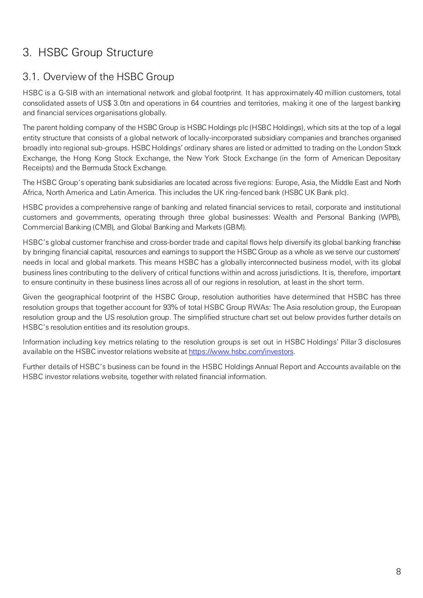# <span id="page-7-0"></span>3. HSBC Group Structure

### 3.1. Overview of the HSBC Group

HSBC is a G-SIB with an international network and global footprint. It has approximately 40 million customers, total consolidated assets of US\$ 3.0tn and operations in 64 countries and territories, making it one of the largest banking and financial services organisations globally.

The parent holding company of the HSBC Group is HSBC Holdings plc (HSBC Holdings), which sits at the top of a legal entity structure that consists of a global network of locally-incorporated subsidiary companies and branches organised broadly into regional sub-groups. HSBC Holdings' ordinary shares are listed or admitted to trading on the London Stock Exchange, the Hong Kong Stock Exchange, the New York Stock Exchange (in the form of American Depositary Receipts) and the Bermuda Stock Exchange.

The HSBC Group's operating bank subsidiaries are located across five regions: Europe, Asia, the Middle East and North Africa, North America and Latin America. This includes the UK ring-fenced bank (HSBC UK Bank plc).

HSBC provides a comprehensive range of banking and related financial services to retail, corporate and institutional customers and governments, operating through three global businesses: Wealth and Personal Banking (WPB), Commercial Banking (CMB), and Global Banking and Markets (GBM).

HSBC's global customer franchise and cross-border trade and capital flows help diversify its global banking franchise by bringing financial capital, resources and earnings to support the HSBC Group as a whole as we serve our customers' needs in local and global markets. This means HSBC has a globally interconnected business model, with its global business lines contributing to the delivery of critical functions within and across jurisdictions. It is, therefore, important to ensure continuity in these business lines across all of our regions in resolution, at least in the short term.

Given the geographical footprint of the HSBC Group, resolution authorities have determined that HSBC has three resolution groups that together account for 93% of total HSBC Group RWAs: The Asia resolution group, the European resolution group and the US resolution group. The simplified structure chart set out below provides further details on HSBC's resolution entities and its resolution groups.

Information including key metrics relating to the resolution groups is set out in HSBC Holdings' Pillar 3 disclosures available on the HSBC investor relations website a[t https://www.hsbc.com/investors.](https://www.hsbc.com/investors)

Further details of HSBC's business can be found in the HSBC Holdings Annual Report and Accounts available on the HSBC investor relations website, together with related financial information.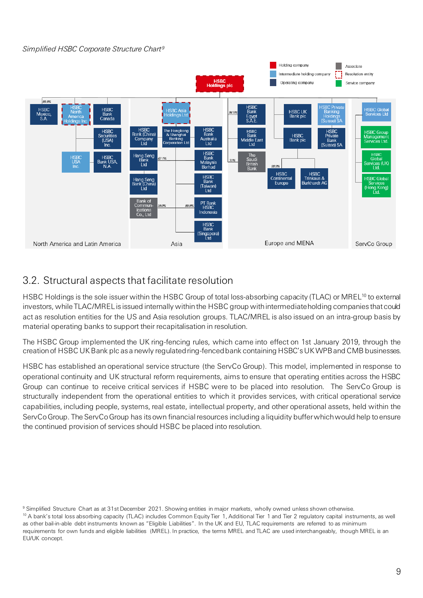### *Simplified HSBC Corporate Structure Chart[9](#page-8-0)*



### 3.2. Structural aspects that facilitate resolution

HSBC Holdings is the sole issuer within the HSBC Group of total loss-absorbing capacity (TLAC) or MREL<sup>[10](#page-8-1)</sup> to external investors, while TLAC/MREL is issued internally within the HSBC group with intermediate holding companies that could act as resolution entities for the US and Asia resolution groups. TLAC/MREL is also issued on an intra-group basis by material operating banks to support their recapitalisation in resolution.

The HSBC Group implemented the UK ring-fencing rules, which came into effect on 1st January 2019, through the creation of HSBC UK Bank plc as a newly regulated ring-fenced bank containing HSBC's UK WPB and CMB businesses.

HSBC has established an operational service structure (the ServCo Group). This model, implemented in response to operational continuity and UK structural reform requirements, aims to ensure that operating entities across the HSBC Group can continue to receive critical services if HSBC were to be placed into resolution. The ServCo Group is structurally independent from the operational entities to which it provides services, with critical operational service capabilities, including people, systems, real estate, intellectual property, and other operational assets, held within the ServCo Group. The ServCo Group has its own financial resources including a liquidity buffer which would help to ensure the continued provision of services should HSBC be placed into resolution.

<span id="page-8-0"></span><sup>&</sup>lt;sup>9</sup> Simplified Structure Chart as at 31st December 2021. Showing entities in major markets, wholly owned unless shown otherwise.

<span id="page-8-1"></span><sup>&</sup>lt;sup>10</sup> A bank's total loss absorbing capacity (TLAC) includes Common Equity Tier 1, Additional Tier 1 and Tier 2 regulatory capital instruments, as well as other bail-in-able debt instruments known as "Eligible Liabilities". In the UK and EU, TLAC requirements are referred to as minimum requirements for own funds and eligible liabilities (MREL). In practice, the terms MREL and TLAC are used interchangeably, though MREL is an EU/UK concept.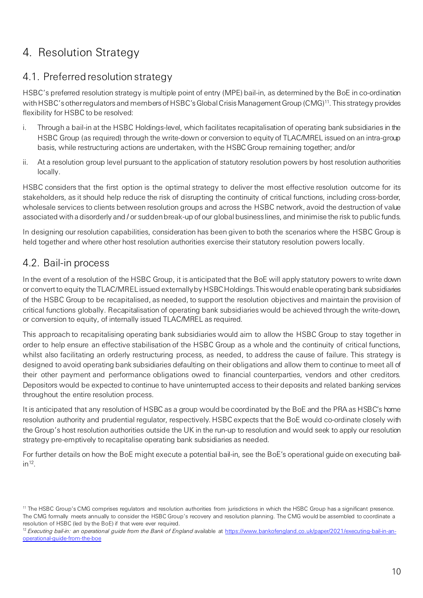# <span id="page-9-0"></span>4. Resolution Strategy

# 4.1. Preferred resolution strategy

HSBC's preferred resolution strategy is multiple point of entry (MPE) bail-in, as determined by the BoE in co-ordination with HSBC's other regulators and members of HSBC's Global Crisis Management Group (CMG)[11](#page-9-1). This strategy provides flexibility for HSBC to be resolved:

- i. Through a bail-in at the HSBC Holdings-level, which facilitates recapitalisation of operating bank subsidiaries in the HSBC Group (as required) through the write-down or conversion to equity of TLAC/MREL issued on an intra-group basis, while restructuring actions are undertaken, with the HSBC Group remaining together; and/or
- ii. At a resolution group level pursuant to the application of statutory resolution powers by host resolution authorities locally.

HSBC considers that the first option is the optimal strategy to deliver the most effective resolution outcome for its stakeholders, as it should help reduce the risk of disrupting the continuity of critical functions, including cross-border, wholesale services to clients between resolution groups and across the HSBC network, avoid the destruction of value associated with a disorderly and / or sudden break-up of our global business lines, and minimise the risk to public funds.

In designing our resolution capabilities, consideration has been given to both the scenarios where the HSBC Group is held together and where other host resolution authorities exercise their statutory resolution powers locally.

# 4.2. Bail-in process

In the event of a resolution of the HSBC Group, it is anticipated that the BoE will apply statutory powers to write down or convert to equity the TLAC/MREL issued externally by HSBC Holdings. This would enable operating bank subsidiaries of the HSBC Group to be recapitalised, as needed, to support the resolution objectives and maintain the provision of critical functions globally. Recapitalisation of operating bank subsidiaries would be achieved through the write-down, or conversion to equity, of internally issued TLAC/MREL as required.

This approach to recapitalising operating bank subsidiaries would aim to allow the HSBC Group to stay together in order to help ensure an effective stabilisation of the HSBC Group as a whole and the continuity of critical functions, whilst also facilitating an orderly restructuring process, as needed, to address the cause of failure. This strategy is designed to avoid operating bank subsidiaries defaulting on their obligations and allow them to continue to meet all of their other payment and performance obligations owed to financial counterparties, vendors and other creditors. Depositors would be expected to continue to have uninterrupted access to their deposits and related banking services throughout the entire resolution process.

It is anticipated that any resolution of HSBC as a group would be coordinated by the BoE and the PRA as HSBC's home resolution authority and prudential regulator, respectively. HSBC expects that the BoE would co-ordinate closely with the Group's host resolution authorities outside the UK in the run-up to resolution and would seek to apply our resolution strategy pre-emptively to recapitalise operating bank subsidiaries as needed.

For further details on how the BoE might execute a potential bail-in, see the BoE's operational guide on executing bail- $in<sup>12</sup>$  $in<sup>12</sup>$  $in<sup>12</sup>$ .

<span id="page-9-1"></span><sup>&</sup>lt;sup>11</sup> The HSBC Group's CMG comprises regulators and resolution authorities from jurisdictions in which the HSBC Group has a significant presence. The CMG formally meets annually to consider the HSBC Group's recovery and resolution planning. The CMG would be assembled to coordinate a resolution of HSBC (led by the BoE) if that were ever required.

<span id="page-9-2"></span><sup>&</sup>lt;sup>12</sup> Executing bail-in: an operational guide from the Bank of England available at [https://www.bankofengland.co.uk/paper/2021/executing-bail-in-an](https://www.bankofengland.co.uk/paper/2021/executing-bail-in-an-operational-guide-from-the-boe)[operational-guide-from-the-boe](https://www.bankofengland.co.uk/paper/2021/executing-bail-in-an-operational-guide-from-the-boe)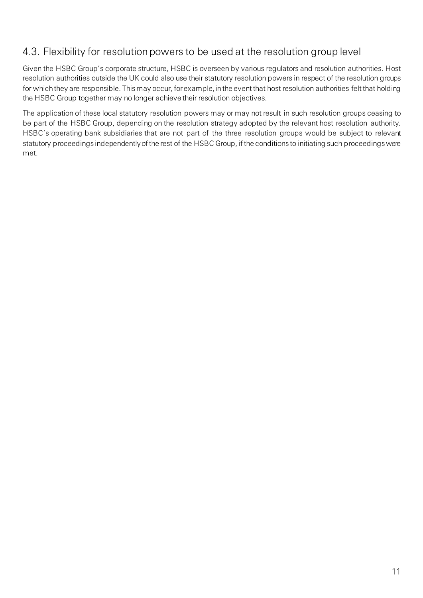# 4.3. Flexibility for resolution powers to be used at the resolution group level

Given the HSBC Group's corporate structure, HSBC is overseen by various regulators and resolution authorities. Host resolution authorities outside the UK could also use their statutory resolution powers in respect of the resolution groups for which they are responsible. This may occur, for example, in the event that host resolution authorities felt that holding the HSBC Group together may no longer achieve their resolution objectives.

The application of these local statutory resolution powers may or may not result in such resolution groups ceasing to be part of the HSBC Group, depending on the resolution strategy adopted by the relevant host resolution authority. HSBC's operating bank subsidiaries that are not part of the three resolution groups would be subject to relevant statutory proceedings independently of the rest of the HSBC Group, if the conditions to initiating such proceedings were met.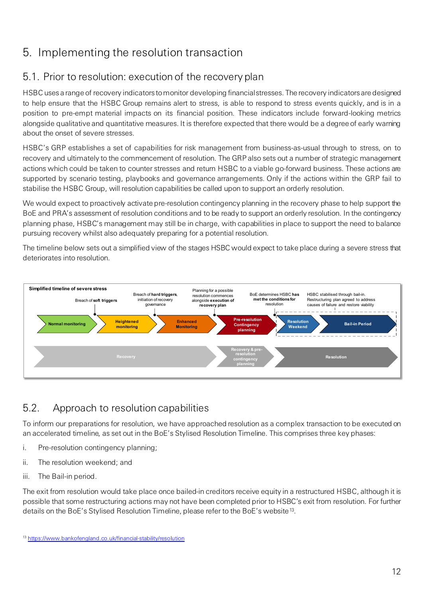# <span id="page-11-0"></span>5. Implementing the resolution transaction

# 5.1. Prior to resolution: execution of the recovery plan

HSBC uses a range of recovery indicators to monitor developing financial stresses. The recovery indicators are designed to help ensure that the HSBC Group remains alert to stress, is able to respond to stress events quickly, and is in a position to pre-empt material impacts on its financial position. These indicators include forward-looking metrics alongside qualitative and quantitative measures. It is therefore expected that there would be a degree of early warning about the onset of severe stresses.

HSBC's GRP establishes a set of capabilities for risk management from business-as-usual through to stress, on to recovery and ultimately to the commencement of resolution. The GRP also sets out a number of strategic management actions which could be taken to counter stresses and return HSBC to a viable go-forward business. These actions are supported by scenario testing, playbooks and governance arrangements. Only if the actions within the GRP fail to stabilise the HSBC Group, will resolution capabilities be called upon to support an orderly resolution.

We would expect to proactively activate pre-resolution contingency planning in the recovery phase to help support the BoE and PRA's assessment of resolution conditions and to be ready to support an orderly resolution. In the contingency planning phase, HSBC's management may still be in charge, with capabilities in place to support the need to balance pursuing recovery whilst also adequately preparing for a potential resolution.

The timeline below sets out a simplified view of the stages HSBC would expect to take place during a severe stress that deteriorates into resolution.



# 5.2. Approach to resolution capabilities

To inform our preparations for resolution, we have approached resolution as a complex transaction to be executed on an accelerated timeline, as set out in the BoE's Stylised Resolution Timeline. This comprises three key phases:

- i. Pre-resolution contingency planning;
- ii. The resolution weekend; and
- iii. The Bail-in period.

The exit from resolution would take place once bailed-in creditors receive equity in a restructured HSBC, although it is possible that some restructuring actions may not have been completed prior to HSBC's exit from resolution. For further details on the BoE's Stylised Resolution Timeline, please refer to the BoE's website[13.](#page-11-1)

<span id="page-11-1"></span><sup>13</sup> <https://www.bankofengland.co.uk/financial-stability/resolution>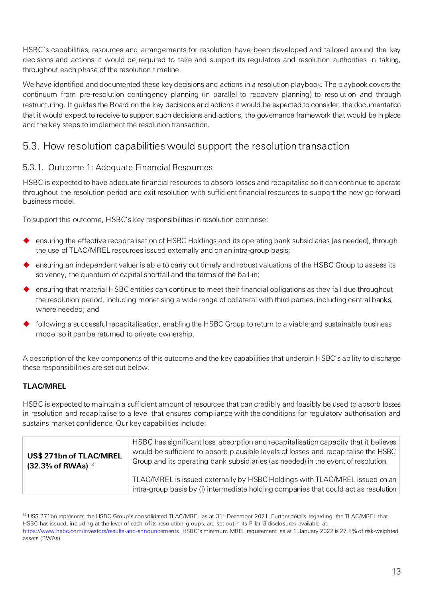HSBC's capabilities, resources and arrangements for resolution have been developed and tailored around the key decisions and actions it would be required to take and support its regulators and resolution authorities in taking, throughout each phase of the resolution timeline.

We have identified and documented these key decisions and actions in a resolution playbook. The playbook covers the continuum from pre-resolution contingency planning (in parallel to recovery planning) to resolution and through restructuring. It guides the Board on the key decisions and actions it would be expected to consider, the documentation that it would expect to receive to support such decisions and actions, the governance framework that would be in place and the key steps to implement the resolution transaction.

### 5.3. How resolution capabilities would support the resolution transaction

### 5.3.1. Outcome 1: Adequate Financial Resources

HSBC is expected to have adequate financial resources to absorb losses and recapitalise so it can continue to operate throughout the resolution period and exit resolution with sufficient financial resources to support the new go-forward business model.

To support this outcome, HSBC's key responsibilities in resolution comprise:

- ensuring the effective recapitalisation of HSBC Holdings and its operating bank subsidiaries (as needed), through the use of TLAC/MREL resources issued externally and on an intra-group basis;
- ensuring an independent valuer is able to carry out timely and robust valuations of the HSBC Group to assess its solvency, the quantum of capital shortfall and the terms of the bail-in;
- ensuring that material HSBC entities can continue to meet their financial obligations as they fall due throughout the resolution period, including monetising a wide range of collateral with third parties, including central banks, where needed; and
- following a successful recapitalisation, enabling the HSBC Group to return to a viable and sustainable business model so it can be returned to private ownership.

A description of the key components of this outcome and the key capabilities that underpin HSBC's ability to discharge these responsibilities are set out below.

### **TLAC/MREL**

HSBC is expected to maintain a sufficient amount of resources that can credibly and feasibly be used to absorb losses in resolution and recapitalise to a level that ensures compliance with the conditions for regulatory authorisation and sustains market confidence. Our key capabilities include:

| US\$ 271bn of TLAC/MREL<br>$(32.3\% \text{ of RWA})$ <sup>14</sup> | HSBC has significant loss absorption and recapitalisation capacity that it believes<br>would be sufficient to absorb plausible levels of losses and recapitalise the HSBC<br>Group and its operating bank subsidiaries (as needed) in the event of resolution. |
|--------------------------------------------------------------------|----------------------------------------------------------------------------------------------------------------------------------------------------------------------------------------------------------------------------------------------------------------|
|                                                                    | TLAC/MREL is issued externally by HSBC Holdings with TLAC/MREL issued on an<br>intra-group basis by (i) intermediate holding companies that could act as resolution                                                                                            |

<span id="page-12-0"></span><sup>&</sup>lt;sup>14</sup> US\$ 271bn represents the HSBC Group's consolidated TLAC/MREL as at 31<sup>st</sup> December 2021. Further details regarding the TLAC/MREL that HSBC has issued, including at the level of each of its resolution groups, are set out in its Pillar 3 disclosures available at [https://www.hsbc.com/investors/results-and-announcements.](https://www.hsbc.com/investors/results-and-announcements) HSBC's minimum MREL requirement as at 1 January 2022 is 27.8% of risk-weighted assets (RWAs).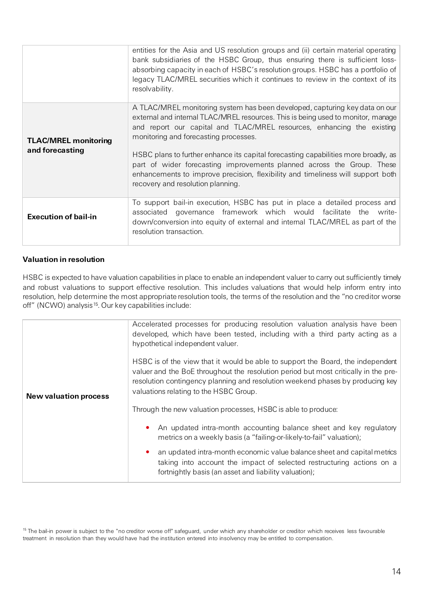|                                                | entities for the Asia and US resolution groups and (ii) certain material operating<br>bank subsidiaries of the HSBC Group, thus ensuring there is sufficient loss-<br>absorbing capacity in each of HSBC's resolution groups. HSBC has a portfolio of<br>legacy TLAC/MREL securities which it continues to review in the context of its<br>resolvability.                                                                                                                                                                                                                   |
|------------------------------------------------|-----------------------------------------------------------------------------------------------------------------------------------------------------------------------------------------------------------------------------------------------------------------------------------------------------------------------------------------------------------------------------------------------------------------------------------------------------------------------------------------------------------------------------------------------------------------------------|
| <b>TLAC/MREL monitoring</b><br>and forecasting | A TLAC/MREL monitoring system has been developed, capturing key data on our<br>external and internal TLAC/MREL resources. This is being used to monitor, manage<br>and report our capital and TLAC/MREL resources, enhancing the existing<br>monitoring and forecasting processes.<br>HSBC plans to further enhance its capital forecasting capabilities more broadly, as<br>part of wider forecasting improvements planned across the Group. These<br>enhancements to improve precision, flexibility and timeliness will support both<br>recovery and resolution planning. |
| <b>Execution of bail-in</b>                    | To support bail-in execution, HSBC has put in place a detailed process and<br>governance framework which would facilitate the write-<br>associated<br>down/conversion into equity of external and internal TLAC/MREL as part of the<br>resolution transaction.                                                                                                                                                                                                                                                                                                              |

### **Valuation in resolution**

HSBC is expected to have valuation capabilities in place to enable an independent valuer to carry out sufficiently timely and robust valuations to support effective resolution. This includes valuations that would help inform entry into resolution, help determine the most appropriate resolution tools, the terms of the resolution and the "no creditor worse off" (NCWO) analysis<sup>15</sup>. Our key capabilities include:

|                              | Accelerated processes for producing resolution valuation analysis have been<br>developed, which have been tested, including with a third party acting as a<br>hypothetical independent valuer.                                                                                                     |
|------------------------------|----------------------------------------------------------------------------------------------------------------------------------------------------------------------------------------------------------------------------------------------------------------------------------------------------|
| <b>New valuation process</b> | HSBC is of the view that it would be able to support the Board, the independent<br>valuer and the BoE throughout the resolution period but most critically in the pre-<br>resolution contingency planning and resolution weekend phases by producing key<br>valuations relating to the HSBC Group. |
|                              | Through the new valuation processes, HSBC is able to produce:                                                                                                                                                                                                                                      |
|                              | An updated intra-month accounting balance sheet and key regulatory<br>۰<br>metrics on a weekly basis (a "failing-or-likely-to-fail" valuation);                                                                                                                                                    |
|                              | an updated intra-month economic value balance sheet and capital metrics<br>$\bullet$<br>taking into account the impact of selected restructuring actions on a<br>fortnightly basis (an asset and liability valuation);                                                                             |

<span id="page-13-0"></span><sup>&</sup>lt;sup>15</sup> The bail-in power is subject to the "no creditor worse off" safeguard, under which any shareholder or creditor which receives less favourable treatment in resolution than they would have had the institution entered into insolvency may be entitled to compensation.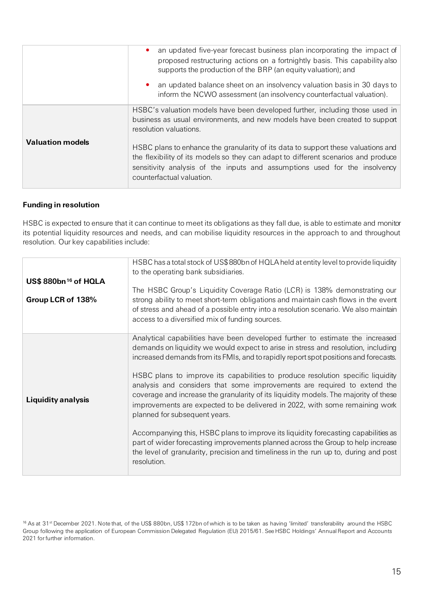|                         | an updated five-year forecast business plan incorporating the impact of<br>$\bullet$<br>proposed restructuring actions on a fortnightly basis. This capability also<br>supports the production of the BRP (an equity valuation); and<br>an updated balance sheet on an insolvency valuation basis in 30 days to<br>$\bullet$<br>inform the NCWO assessment (an insolvency counterfactual valuation).                                                                        |
|-------------------------|-----------------------------------------------------------------------------------------------------------------------------------------------------------------------------------------------------------------------------------------------------------------------------------------------------------------------------------------------------------------------------------------------------------------------------------------------------------------------------|
| <b>Valuation models</b> | HSBC's valuation models have been developed further, including those used in<br>business as usual environments, and new models have been created to support<br>resolution valuations.<br>HSBC plans to enhance the granularity of its data to support these valuations and<br>the flexibility of its models so they can adapt to different scenarios and produce<br>sensitivity analysis of the inputs and assumptions used for the insolvency<br>counterfactual valuation. |

### **Funding in resolution**

HSBC is expected to ensure that it can continue to meet its obligations as they fall due, is able to estimate and monitor its potential liquidity resources and needs, and can mobilise liquidity resources in the approach to and throughout resolution. Our key capabilities include:

|                                                      | HSBC has a total stock of US\$880bn of HQLA held at entity level to provide liquidity<br>to the operating bank subsidiaries.                                                                                                                                                                                                                                                                                                                                                                                                                                                                                                                                                                                                                                                                                                                                                                                       |
|------------------------------------------------------|--------------------------------------------------------------------------------------------------------------------------------------------------------------------------------------------------------------------------------------------------------------------------------------------------------------------------------------------------------------------------------------------------------------------------------------------------------------------------------------------------------------------------------------------------------------------------------------------------------------------------------------------------------------------------------------------------------------------------------------------------------------------------------------------------------------------------------------------------------------------------------------------------------------------|
| US\$880bn <sup>16</sup> of HQLA<br>Group LCR of 138% | The HSBC Group's Liquidity Coverage Ratio (LCR) is 138% demonstrating our<br>strong ability to meet short-term obligations and maintain cash flows in the event<br>of stress and ahead of a possible entry into a resolution scenario. We also maintain<br>access to a diversified mix of funding sources.                                                                                                                                                                                                                                                                                                                                                                                                                                                                                                                                                                                                         |
| <b>Liquidity analysis</b>                            | Analytical capabilities have been developed further to estimate the increased<br>demands on liquidity we would expect to arise in stress and resolution, including<br>increased demands from its FMIs, and to rapidly report spot positions and forecasts.<br>HSBC plans to improve its capabilities to produce resolution specific liquidity<br>analysis and considers that some improvements are required to extend the<br>coverage and increase the granularity of its liquidity models. The majority of these<br>improvements are expected to be delivered in 2022, with some remaining work<br>planned for subsequent years.<br>Accompanying this, HSBC plans to improve its liquidity forecasting capabilities as<br>part of wider forecasting improvements planned across the Group to help increase<br>the level of granularity, precision and timeliness in the run up to, during and post<br>resolution. |

<span id="page-14-0"></span><sup>16</sup> As at 31<sup>st</sup> December 2021. Note that, of the US\$ 880bn, US\$ 172bn of which is to be taken as having 'limited' transferability around the HSBC Group following the application of European Commission Delegated Regulation (EU) 2015/61. See HSBC Holdings' Annual Report and Accounts 2021 for further information.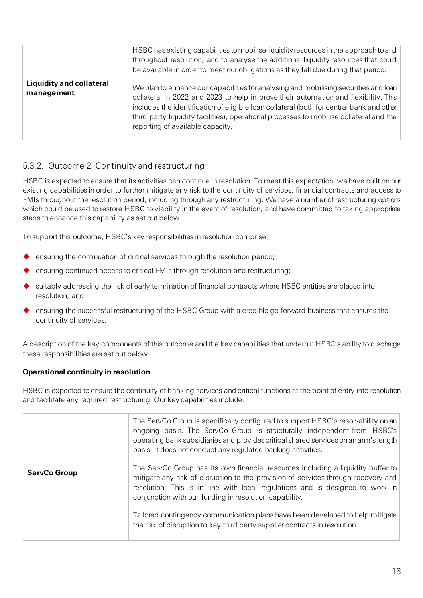|                                               | HSBC has existing capabilities to mobilise liquidity resources in the approach to and<br>throughout resolution, and to analyse the additional liquidity resources that could<br>be available in order to meet our obligations as they fall due during that period.                                                                                                                                    |
|-----------------------------------------------|-------------------------------------------------------------------------------------------------------------------------------------------------------------------------------------------------------------------------------------------------------------------------------------------------------------------------------------------------------------------------------------------------------|
| <b>Liquidity and collateral</b><br>management | We plan to enhance our capabilities for analysing and mobilising securities and loan<br>collateral in 2022 and 2023 to help improve their automation and flexibility. This<br>includes the identification of eligible loan collateral (both for central bank and other<br>third party liquidity facilities), operational processes to mobilise collateral and the<br>reporting of available capacity. |

### 5.3.2. Outcome 2: Continuity and restructuring

HSBC is expected to ensure that its activities can continue in resolution. To meet this expectation, we have built on our existing capabilities in order to further mitigate any risk to the continuity of services, financial contracts and access to FMIs throughout the resolution period, including through any restructuring. We have a number of restructuring options which could be used to restore HSBC to viability in the event of resolution, and have committed to taking appropriate steps to enhance this capability as set out below.

To support this outcome, HSBC's key responsibilities in resolution comprise:

- ensuring the continuation of critical services through the resolution period;
- ensuring continued access to critical FMIs through resolution and restructuring;
- suitably addressing the risk of early termination of financial contracts where HSBC entities are placed into resolution; and
- ensuring the successful restructuring of the HSBC Group with a credible go-forward business that ensures the continuity of services.

A description of the key components of this outcome and the key capabilities that underpin HSBC's ability to discharge these responsibilities are set out below.

### **Operational continuity in resolution**

HSBC is expected to ensure the continuity of banking services and critical functions at the point of entry into resolution and facilitate any required restructuring. Our key capabilities include:

|                     | The ServCo Group is specifically configured to support HSBC's resolvability on an<br>ongoing basis. The ServCo Group is structurally independent from HSBC's<br>operating bank subsidiaries and provides critical shared services on an arm's length<br>basis. It does not conduct any regulated banking activities. |
|---------------------|----------------------------------------------------------------------------------------------------------------------------------------------------------------------------------------------------------------------------------------------------------------------------------------------------------------------|
| <b>ServCo Group</b> | The ServCo Group has its own financial resources including a liquidity buffer to<br>mitigate any risk of disruption to the provision of services through recovery and<br>resolution. This is in line with local regulations and is designed to work in<br>conjunction with our funding in resolution capability.     |
|                     | Tailored contingency communication plans have been developed to help mitigate<br>the risk of disruption to key third party supplier contracts in resolution.                                                                                                                                                         |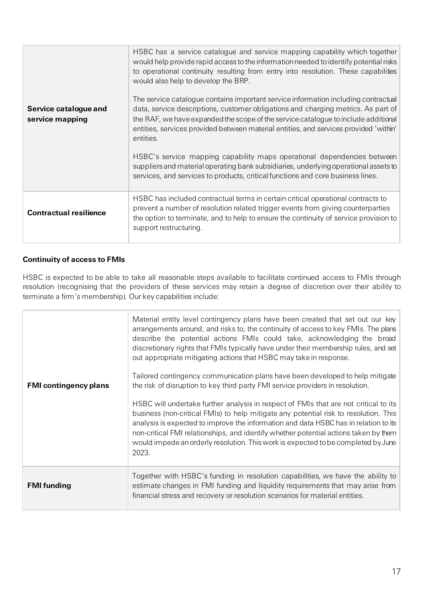| Service catalogue and<br>service mapping | HSBC has a service catalogue and service mapping capability which together<br>would help provide rapid access to the information needed to identify potential risks<br>to operational continuity resulting from entry into resolution. These capabilities<br>would also help to develop the BRP.<br>The service catalogue contains important service information including contractual<br>data, service descriptions, customer obligations and charging metrics. As part of<br>the RAF, we have expanded the scope of the service catalogue to include additional<br>entities, services provided between material entities, and services provided 'within'<br>entities.<br>HSBC's service mapping capability maps operational dependencies between<br>suppliers and material operating bank subsidiaries, underlying operational assets to<br>services, and services to products, critical functions and core business lines. |
|------------------------------------------|-------------------------------------------------------------------------------------------------------------------------------------------------------------------------------------------------------------------------------------------------------------------------------------------------------------------------------------------------------------------------------------------------------------------------------------------------------------------------------------------------------------------------------------------------------------------------------------------------------------------------------------------------------------------------------------------------------------------------------------------------------------------------------------------------------------------------------------------------------------------------------------------------------------------------------|
| <b>Contractual resilience</b>            | HSBC has included contractual terms in certain critical operational contracts to<br>prevent a number of resolution related trigger events from giving counterparties<br>the option to terminate, and to help to ensure the continuity of service provision to<br>support restructuring.                                                                                                                                                                                                                                                                                                                                                                                                                                                                                                                                                                                                                                       |

### **Continuity of access to FMIs**

HSBC is expected to be able to take all reasonable steps available to facilitate continued access to FMIs through resolution (recognising that the providers of these services may retain a degree of discretion over their ability to terminate a firm's membership). Our key capabilities include:

| <b>FMI contingency plans</b> | Material entity level contingency plans have been created that set out our key<br>arrangements around, and risks to, the continuity of access to key FMIs. The plans<br>describe the potential actions FMIs could take, acknowledging the broad<br>discretionary rights that FMIs typically have under their membership rules, and set<br>out appropriate mitigating actions that HSBC may take in response.<br>Tailored contingency communication plans have been developed to help mitigate<br>the risk of disruption to key third party FMI service providers in resolution.<br>HSBC will undertake further analysis in respect of FMIs that are not critical to its<br>business (non-critical FMIs) to help mitigate any potential risk to resolution. This<br>analysis is expected to improve the information and data HSBC has in relation to its<br>non-critical FMI relationships, and identify whether potential actions taken by them<br>would impede an orderly resolution. This work is expected to be completed by June<br>2023. |
|------------------------------|-----------------------------------------------------------------------------------------------------------------------------------------------------------------------------------------------------------------------------------------------------------------------------------------------------------------------------------------------------------------------------------------------------------------------------------------------------------------------------------------------------------------------------------------------------------------------------------------------------------------------------------------------------------------------------------------------------------------------------------------------------------------------------------------------------------------------------------------------------------------------------------------------------------------------------------------------------------------------------------------------------------------------------------------------|
| <b>FMI</b> funding           | Together with HSBC's funding in resolution capabilities, we have the ability to<br>estimate changes in FMI funding and liquidity requirements that may arise from<br>financial stress and recovery or resolution scenarios for material entities.                                                                                                                                                                                                                                                                                                                                                                                                                                                                                                                                                                                                                                                                                                                                                                                             |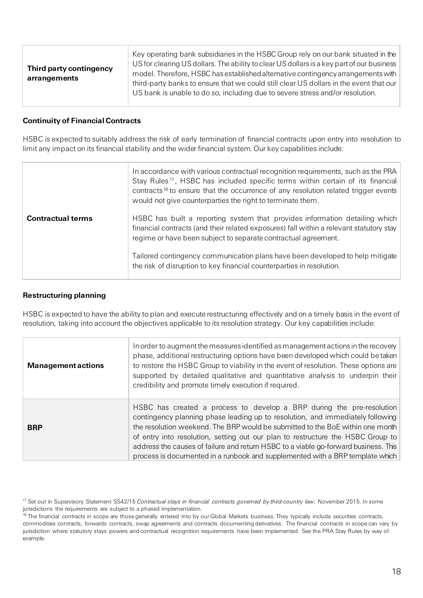| Third party contingency<br>arrangements | Key operating bank subsidiaries in the HSBC Group rely on our bank situated in the<br>US for clearing US dollars. The ability to clear US dollars is a key part of our business<br>model. Therefore, HSBC has established alternative contingency arrangements with<br>third-party banks to ensure that we could still clear US dollars in the event that our<br>US bank is unable to do so, including due to severe stress and/or resolution. |
|-----------------------------------------|------------------------------------------------------------------------------------------------------------------------------------------------------------------------------------------------------------------------------------------------------------------------------------------------------------------------------------------------------------------------------------------------------------------------------------------------|
|-----------------------------------------|------------------------------------------------------------------------------------------------------------------------------------------------------------------------------------------------------------------------------------------------------------------------------------------------------------------------------------------------------------------------------------------------------------------------------------------------|

#### **Continuity of Financial Contracts**

HSBC is expected to suitably address the risk of early termination of financial contracts upon entry into resolution to limit any impact on its financial stability and the wider financial system. Our key capabilities include:

|                          | In accordance with various contractual recognition requirements, such as the PRA<br>Stay Rules <sup>17</sup> , HSBC has included specific terms within certain of its financial<br>contracts <sup>18</sup> to ensure that the occurrence of any resolution related trigger events<br>would not give counterparties the right to terminate them. |
|--------------------------|-------------------------------------------------------------------------------------------------------------------------------------------------------------------------------------------------------------------------------------------------------------------------------------------------------------------------------------------------|
| <b>Contractual terms</b> | HSBC has built a reporting system that provides information detailing which<br>financial contracts (and their related exposures) fall within a relevant statutory stay<br>regime or have been subject to separate contractual agreement.                                                                                                        |
|                          | Tailored contingency communication plans have been developed to help mitigate<br>the risk of disruption to key financial counterparties in resolution.                                                                                                                                                                                          |

#### **Restructuring planning**

HSBC is expected to have the ability to plan and execute restructuring effectively and on a timely basis in the event of resolution, taking into account the objectives applicable to its resolution strategy. Our key capabilities include:

| <b>Management actions</b> | In order to augment the measures identified as management actions in the recovery<br>phase, additional restructuring options have been developed which could be taken<br>to restore the HSBC Group to viability in the event of resolution. These options are<br>supported by detailed qualitative and quantitative analysis to underpin their<br>credibility and promote timely execution if required.                                                                                              |
|---------------------------|------------------------------------------------------------------------------------------------------------------------------------------------------------------------------------------------------------------------------------------------------------------------------------------------------------------------------------------------------------------------------------------------------------------------------------------------------------------------------------------------------|
| <b>BRP</b>                | HSBC has created a process to develop a BRP during the pre-resolution<br>contingency planning phase leading up to resolution, and immediately following<br>the resolution weekend. The BRP would be submitted to the BoE within one month<br>of entry into resolution, setting out our plan to restructure the HSBC Group to<br>address the causes of failure and return HSBC to a viable go-forward business. This<br>process is documented in a runbook and supplemented with a BRP template which |

<span id="page-17-0"></span><sup>&</sup>lt;sup>17</sup> Set out in Supervisory Statement SS42/15 *Contractual stays in financial contracts governed by third-country law*, November 2015. In some jurisdictions the requirements are subject to a phased implementation.

<span id="page-17-1"></span><sup>&</sup>lt;sup>18</sup> The financial contracts in scope are those generally entered into by our Global Markets business. They typically include securities contracts, commodities contracts, forwards contracts, swap agreements and contracts documenting derivatives. The financial contracts in scope can vary by jurisdiction where statutory stays powers and contractual recognition requirements have been implemented. See the PRA Stay Rules by way of example.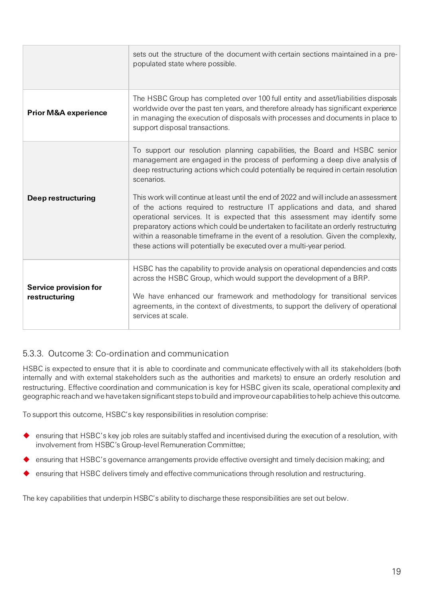|                                        | sets out the structure of the document with certain sections maintained in a pre-<br>populated state where possible.                                                                                                                                                                                                                                                                                                                                                                                                                                                                                                                                                                                                                                                        |
|----------------------------------------|-----------------------------------------------------------------------------------------------------------------------------------------------------------------------------------------------------------------------------------------------------------------------------------------------------------------------------------------------------------------------------------------------------------------------------------------------------------------------------------------------------------------------------------------------------------------------------------------------------------------------------------------------------------------------------------------------------------------------------------------------------------------------------|
| <b>Prior M&amp;A experience</b>        | The HSBC Group has completed over 100 full entity and asset/liabilities disposals<br>worldwide over the past ten years, and therefore already has significant experience<br>in managing the execution of disposals with processes and documents in place to<br>support disposal transactions.                                                                                                                                                                                                                                                                                                                                                                                                                                                                               |
| Deep restructuring                     | To support our resolution planning capabilities, the Board and HSBC senior<br>management are engaged in the process of performing a deep dive analysis of<br>deep restructuring actions which could potentially be required in certain resolution<br>scenarios.<br>This work will continue at least until the end of 2022 and will include an assessment<br>of the actions required to restructure IT applications and data, and shared<br>operational services. It is expected that this assessment may identify some<br>preparatory actions which could be undertaken to facilitate an orderly restructuring<br>within a reasonable timeframe in the event of a resolution. Given the complexity,<br>these actions will potentially be executed over a multi-year period. |
| Service provision for<br>restructuring | HSBC has the capability to provide analysis on operational dependencies and costs<br>across the HSBC Group, which would support the development of a BRP.<br>We have enhanced our framework and methodology for transitional services<br>agreements, in the context of divestments, to support the delivery of operational<br>services at scale.                                                                                                                                                                                                                                                                                                                                                                                                                            |

### 5.3.3. Outcome 3: Co-ordination and communication

HSBC is expected to ensure that it is able to coordinate and communicate effectively with all its stakeholders (both internally and with external stakeholders such as the authorities and markets) to ensure an orderly resolution and restructuring. Effective coordination and communication is key for HSBC given its scale, operational complexity and geographic reach and we have taken significant steps tobuild and improve our capabilities to help achieve this outcome.

To support this outcome, HSBC's key responsibilities in resolution comprise:

- ensuring that HSBC's key job roles are suitably staffed and incentivised during the execution of a resolution, with involvement from HSBC's Group-level Remuneration Committee;
- ensuring that HSBC's governance arrangements provide effective oversight and timely decision making; and
- ensuring that HSBC delivers timely and effective communications through resolution and restructuring.

The key capabilities that underpin HSBC's ability to discharge these responsibilities are set out below.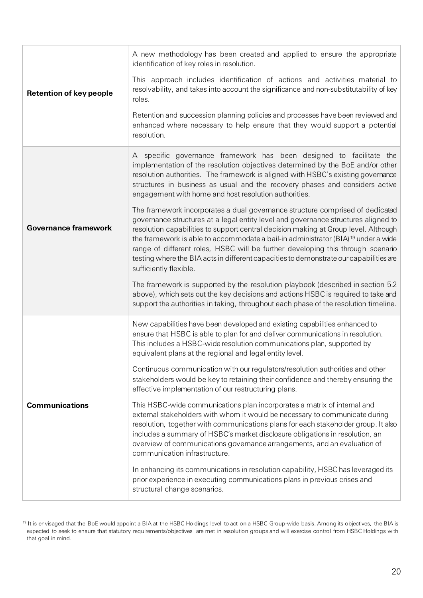| <b>Retention of key people</b> | A new methodology has been created and applied to ensure the appropriate<br>identification of key roles in resolution.                                                                                                                                                                                                                                                                                                                                                                                                                                             |
|--------------------------------|--------------------------------------------------------------------------------------------------------------------------------------------------------------------------------------------------------------------------------------------------------------------------------------------------------------------------------------------------------------------------------------------------------------------------------------------------------------------------------------------------------------------------------------------------------------------|
|                                | This approach includes identification of actions and activities material to<br>resolvability, and takes into account the significance and non-substitutability of key<br>roles.                                                                                                                                                                                                                                                                                                                                                                                    |
|                                | Retention and succession planning policies and processes have been reviewed and<br>enhanced where necessary to help ensure that they would support a potential<br>resolution.                                                                                                                                                                                                                                                                                                                                                                                      |
| <b>Governance framework</b>    | A specific governance framework has been designed to facilitate the<br>implementation of the resolution objectives determined by the BoE and/or other<br>resolution authorities. The framework is aligned with HSBC's existing governance<br>structures in business as usual and the recovery phases and considers active<br>engagement with home and host resolution authorities.                                                                                                                                                                                 |
|                                | The framework incorporates a dual governance structure comprised of dedicated<br>governance structures at a legal entity level and governance structures aligned to<br>resolution capabilities to support central decision making at Group level. Although<br>the framework is able to accommodate a bail-in administrator (BIA) <sup>19</sup> under a wide<br>range of different roles, HSBC will be further developing this through scenario<br>testing where the BIA acts in different capacities to demonstrate our capabilities are<br>sufficiently flexible. |
|                                | The framework is supported by the resolution playbook (described in section 5.2<br>above), which sets out the key decisions and actions HSBC is required to take and<br>support the authorities in taking, throughout each phase of the resolution timeline.                                                                                                                                                                                                                                                                                                       |
| <b>Communications</b>          | New capabilities have been developed and existing capabilities enhanced to<br>ensure that HSBC is able to plan for and deliver communications in resolution.<br>This includes a HSBC-wide resolution communications plan, supported by<br>equivalent plans at the regional and legal entity level.                                                                                                                                                                                                                                                                 |
|                                | Continuous communication with our regulators/resolution authorities and other<br>stakeholders would be key to retaining their confidence and thereby ensuring the<br>effective implementation of our restructuring plans.                                                                                                                                                                                                                                                                                                                                          |
|                                | This HSBC-wide communications plan incorporates a matrix of internal and<br>external stakeholders with whom it would be necessary to communicate during<br>resolution, together with communications plans for each stakeholder group. It also<br>includes a summary of HSBC's market disclosure obligations in resolution, an<br>overview of communications governance arrangements, and an evaluation of<br>communication infrastructure.                                                                                                                         |
|                                | In enhancing its communications in resolution capability, HSBC has leveraged its<br>prior experience in executing communications plans in previous crises and<br>structural change scenarios.                                                                                                                                                                                                                                                                                                                                                                      |

<span id="page-19-0"></span><sup>&</sup>lt;sup>19</sup> It is envisaged that the BoE would appoint a BIA at the HSBC Holdings level to act on a HSBC Group-wide basis. Among its objectives, the BIA is expected to seek to ensure that statutory requirements/objectives are met in resolution groups and will exercise control from HSBC Holdings with that goal in mind.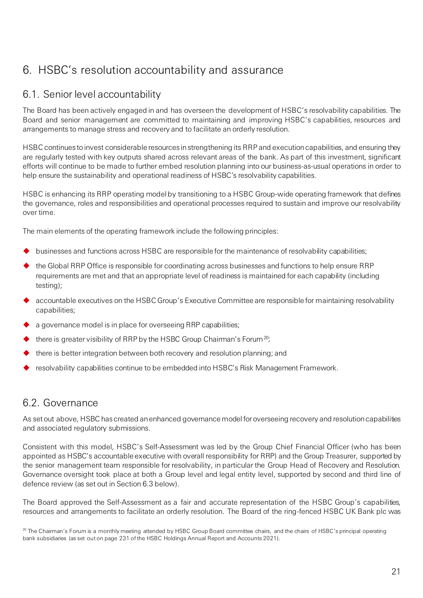# <span id="page-20-0"></span>6. HSBC's resolution accountability and assurance

### 6.1. Senior level accountability

The Board has been actively engaged in and has overseen the development of HSBC's resolvability capabilities. The Board and senior management are committed to maintaining and improving HSBC's capabilities, resources and arrangements to manage stress and recovery and to facilitate an orderly resolution.

HSBC continues to invest considerable resources in strengthening its RRP and execution capabilities, and ensuring they are regularly tested with key outputs shared across relevant areas of the bank. As part of this investment, significant efforts will continue to be made to further embed resolution planning into our business-as-usual operations in order to help ensure the sustainability and operational readiness of HSBC's resolvability capabilities.

HSBC is enhancing its RRP operating model by transitioning to a HSBC Group-wide operating framework that defines the governance, roles and responsibilities and operational processes required to sustain and improve our resolvability over time.

The main elements of the operating framework include the following principles:

- businesses and functions across HSBC are responsible for the maintenance of resolvability capabilities;
- the Global RRP Office is responsible for coordinating across businesses and functions to help ensure RRP requirements are met and that an appropriate level of readiness is maintained for each capability (including testing);
- accountable executives on the HSBC Group's Executive Committee are responsible for maintaining resolvability capabilities;
- a governance model is in place for overseeing RRP capabilities;
- there is greater visibility of RRP by the HSBC Group Chairman's Forum<sup>20</sup>;
- there is better integration between both recovery and resolution planning; and
- resolvability capabilities continue to be embedded into HSBC's Risk Management Framework.

### 6.2. Governance

As set out above, HSBC has created an enhanced governance model for overseeing recovery and resolution capabilities and associated regulatory submissions.

Consistent with this model, HSBC's Self-Assessment was led by the Group Chief Financial Officer (who has been appointed as HSBC's accountable executive with overall responsibility for RRP) and the Group Treasurer, supported by the senior management team responsible for resolvability, in particular the Group Head of Recovery and Resolution. Governance oversight took place at both a Group level and legal entity level, supported by second and third line of defence review (as set out in Section 6.3 below).

The Board approved the Self-Assessment as a fair and accurate representation of the HSBC Group's capabilities, resources and arrangements to facilitate an orderly resolution. The Board of the ring-fenced HSBC UK Bank plc was

<span id="page-20-1"></span> $20$  The Chairman's Forum is a monthly meeting attended by HSBC Group Board committee chairs, and the chairs of HSBC's principal operating bank subsidiaries (as set out on page 231 of the HSBC Holdings Annual Report and Accounts 2021).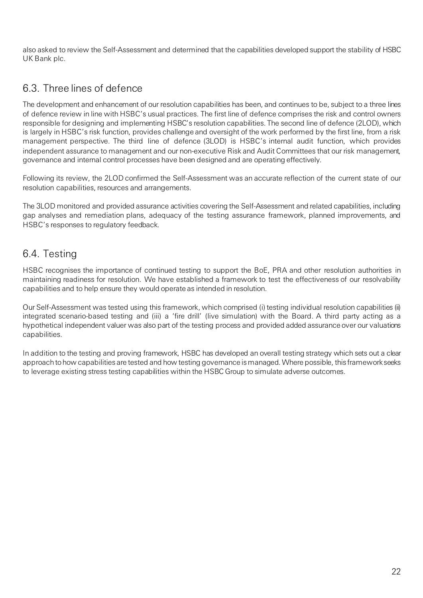also asked to review the Self-Assessment and determined that the capabilities developed support the stability of HSBC UK Bank plc.

### 6.3. Three lines of defence

The development and enhancement of our resolution capabilities has been, and continues to be, subject to a three lines of defence review in line with HSBC's usual practices. The first line of defence comprises the risk and control owners responsible for designing and implementing HSBC's resolution capabilities. The second line of defence (2LOD), which is largely in HSBC's risk function, provides challenge and oversight of the work performed by the first line, from a risk management perspective. The third line of defence (3LOD) is HSBC's internal audit function, which provides independent assurance to management and our non-executive Risk and Audit Committees that our risk management, governance and internal control processes have been designed and are operating effectively.

Following its review, the 2LOD confirmed the Self-Assessment was an accurate reflection of the current state of our resolution capabilities, resources and arrangements.

The 3LOD monitored and provided assurance activities covering the Self-Assessment and related capabilities, including gap analyses and remediation plans, adequacy of the testing assurance framework, planned improvements, and HSBC's responses to regulatory feedback.

# 6.4. Testing

HSBC recognises the importance of continued testing to support the BoE, PRA and other resolution authorities in maintaining readiness for resolution. We have established a framework to test the effectiveness of our resolvability capabilities and to help ensure they would operate as intended in resolution.

Our Self-Assessment was tested using this framework, which comprised (i) testing individual resolution capabilities (ii) integrated scenario-based testing and (iii) a 'fire drill' (live simulation) with the Board. A third party acting as a hypothetical independent valuer was also part of the testing process and provided added assurance over our valuations capabilities.

In addition to the testing and proving framework, HSBC has developed an overall testing strategy which sets out a clear approach tohow capabilities are tested and how testing governance is managed. Where possible, this framework seeks to leverage existing stress testing capabilities within the HSBC Group to simulate adverse outcomes.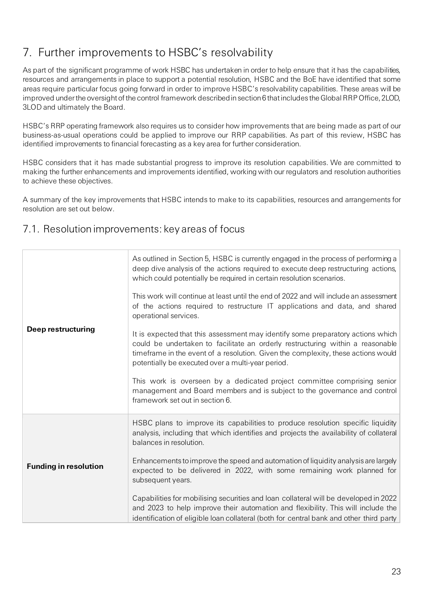# <span id="page-22-0"></span>7. Further improvements to HSBC's resolvability

As part of the significant programme of work HSBC has undertaken in order to help ensure that it has the capabilities, resources and arrangements in place to support a potential resolution, HSBC and the BoE have identified that some areas require particular focus going forward in order to improve HSBC's resolvability capabilities. These areas will be improved under the oversight of the control framework described in section 6 that includes the Global RRP Office, 2LOD, 3LOD and ultimately the Board.

HSBC's RRP operating framework also requires us to consider how improvements that are being made as part of our business-as-usual operations could be applied to improve our RRP capabilities. As part of this review, HSBC has identified improvements to financial forecasting as a key area for further consideration.

HSBC considers that it has made substantial progress to improve its resolution capabilities. We are committed to making the further enhancements and improvements identified, working with our regulators and resolution authorities to achieve these objectives.

A summary of the key improvements that HSBC intends to make to its capabilities, resources and arrangements for resolution are set out below.

### 7.1. Resolution improvements: key areas of focus

| Deep restructuring           | As outlined in Section 5, HSBC is currently engaged in the process of performing a<br>deep dive analysis of the actions required to execute deep restructuring actions,<br>which could potentially be required in certain resolution scenarios.<br>This work will continue at least until the end of 2022 and will include an assessment<br>of the actions required to restructure IT applications and data, and shared<br>operational services.<br>It is expected that this assessment may identify some preparatory actions which<br>could be undertaken to facilitate an orderly restructuring within a reasonable<br>timeframe in the event of a resolution. Given the complexity, these actions would<br>potentially be executed over a multi-year period.<br>This work is overseen by a dedicated project committee comprising senior<br>management and Board members and is subject to the governance and control<br>framework set out in section 6. |
|------------------------------|-------------------------------------------------------------------------------------------------------------------------------------------------------------------------------------------------------------------------------------------------------------------------------------------------------------------------------------------------------------------------------------------------------------------------------------------------------------------------------------------------------------------------------------------------------------------------------------------------------------------------------------------------------------------------------------------------------------------------------------------------------------------------------------------------------------------------------------------------------------------------------------------------------------------------------------------------------------|
| <b>Funding in resolution</b> | HSBC plans to improve its capabilities to produce resolution specific liquidity<br>analysis, including that which identifies and projects the availability of collateral<br>balances in resolution.<br>Enhancements to improve the speed and automation of liquidity analysis are largely<br>expected to be delivered in 2022, with some remaining work planned for<br>subsequent years.<br>Capabilities for mobilising securities and loan collateral will be developed in 2022<br>and 2023 to help improve their automation and flexibility. This will include the<br>identification of eligible loan collateral (both for central bank and other third party                                                                                                                                                                                                                                                                                             |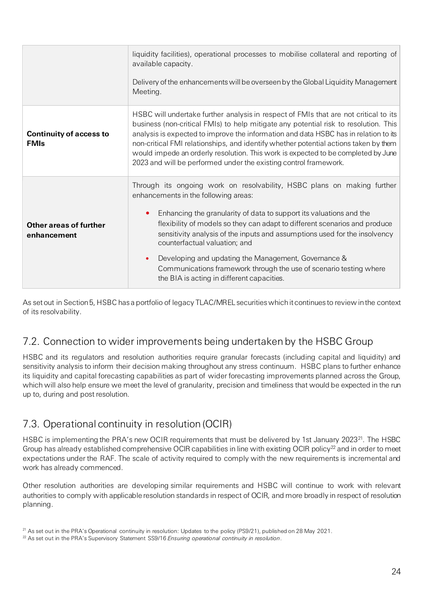|                                               | liquidity facilities), operational processes to mobilise collateral and reporting of<br>available capacity.<br>Delivery of the enhancements will be overseen by the Global Liquidity Management<br>Meeting.                                                                                                                                                                                                                                                                                                                                                                  |
|-----------------------------------------------|------------------------------------------------------------------------------------------------------------------------------------------------------------------------------------------------------------------------------------------------------------------------------------------------------------------------------------------------------------------------------------------------------------------------------------------------------------------------------------------------------------------------------------------------------------------------------|
| <b>Continuity of access to</b><br><b>FMIs</b> | HSBC will undertake further analysis in respect of FMIs that are not critical to its<br>business (non-critical FMIs) to help mitigate any potential risk to resolution. This<br>analysis is expected to improve the information and data HSBC has in relation to its<br>non-critical FMI relationships, and identify whether potential actions taken by them<br>would impede an orderly resolution. This work is expected to be completed by June<br>2023 and will be performed under the existing control framework.                                                        |
| <b>Other areas of further</b><br>enhancement  | Through its ongoing work on resolvability, HSBC plans on making further<br>enhancements in the following areas:<br>Enhancing the granularity of data to support its valuations and the<br>flexibility of models so they can adapt to different scenarios and produce<br>sensitivity analysis of the inputs and assumptions used for the insolvency<br>counterfactual valuation; and<br>Developing and updating the Management, Governance &<br>$\bullet$<br>Communications framework through the use of scenario testing where<br>the BIA is acting in different capacities. |

As set out in Section 5, HSBC has a portfolio of legacy TLAC/MREL securities which it continues to review in the context of its resolvability.

# 7.2. Connection to wider improvements being undertaken by the HSBC Group

HSBC and its regulators and resolution authorities require granular forecasts (including capital and liquidity) and sensitivity analysis to inform their decision making throughout any stress continuum. HSBC plans to further enhance its liquidity and capital forecasting capabilities as part of wider forecasting improvements planned across the Group, which will also help ensure we meet the level of granularity, precision and timeliness that would be expected in the run up to, during and post resolution.

# 7.3. Operational continuity in resolution (OCIR)

HSBC is implementing the PRA's new OCIR requirements that must be delivered by 1st January 2023<sup>[21](#page-23-0)</sup>. The HSBC Group has already established comprehensive OCIR capabilities in line with existing OCIR policy<sup>[22](#page-23-1)</sup> and in order to meet expectations under the RAF. The scale of activity required to comply with the new requirements is incremental and work has already commenced.

Other resolution authorities are developing similar requirements and HSBC will continue to work with relevant authorities to comply with applicable resolution standards in respect of OCIR, and more broadly in respect of resolution planning.

<span id="page-23-0"></span><sup>&</sup>lt;sup>21</sup> As set out in the PRA's Operational continuity in resolution: Updates to the policy (PS9/21), published on 28 May 2021.

<span id="page-23-1"></span><sup>22</sup> As set out in the PRA's Supervisory Statement SS9/16 *Ensuring operational continuity in resolution*.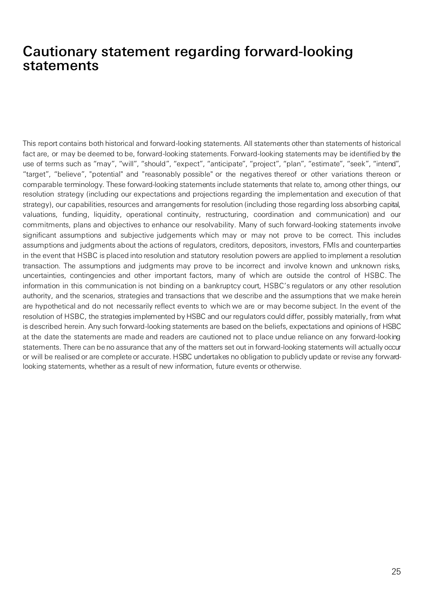# Cautionary statement regarding forward-looking statements

This report contains both historical and forward-looking statements. All statements other than statements of historical fact are, or may be deemed to be, forward-looking statements. Forward-looking statements may be identified by the use of terms such as "may", "will", "should", "expect", "anticipate", "project", "plan", "estimate", "seek", "intend", "target", "believe", "potential" and "reasonably possible" or the negatives thereof or other variations thereon or comparable terminology. These forward-looking statements include statements that relate to, among other things, our resolution strategy (including our expectations and projections regarding the implementation and execution of that strategy), our capabilities, resources and arrangements for resolution (including those regarding loss absorbing capital, valuations, funding, liquidity, operational continuity, restructuring, coordination and communication) and our commitments, plans and objectives to enhance our resolvability. Many of such forward-looking statements involve significant assumptions and subjective judgements which may or may not prove to be correct. This includes assumptions and judgments about the actions of regulators, creditors, depositors, investors, FMIs and counterparties in the event that HSBC is placed into resolution and statutory resolution powers are applied to implement a resolution transaction. The assumptions and judgments may prove to be incorrect and involve known and unknown risks, uncertainties, contingencies and other important factors, many of which are outside the control of HSBC. The information in this communication is not binding on a bankruptcy court, HSBC's regulators or any other resolution authority, and the scenarios, strategies and transactions that we describe and the assumptions that we make herein are hypothetical and do not necessarily reflect events to which we are or may become subject. In the event of the resolution of HSBC, the strategies implemented by HSBC and our regulators could differ, possibly materially, from what is described herein. Any such forward-looking statements are based on the beliefs, expectations and opinions of HSBC at the date the statements are made and readers are cautioned not to place undue reliance on any forward-looking statements. There can be no assurance that any of the matters set out in forward-looking statements will actually occur or will be realised or are complete or accurate. HSBC undertakes no obligation to publicly update or revise any forwardlooking statements, whether as a result of new information, future events or otherwise.